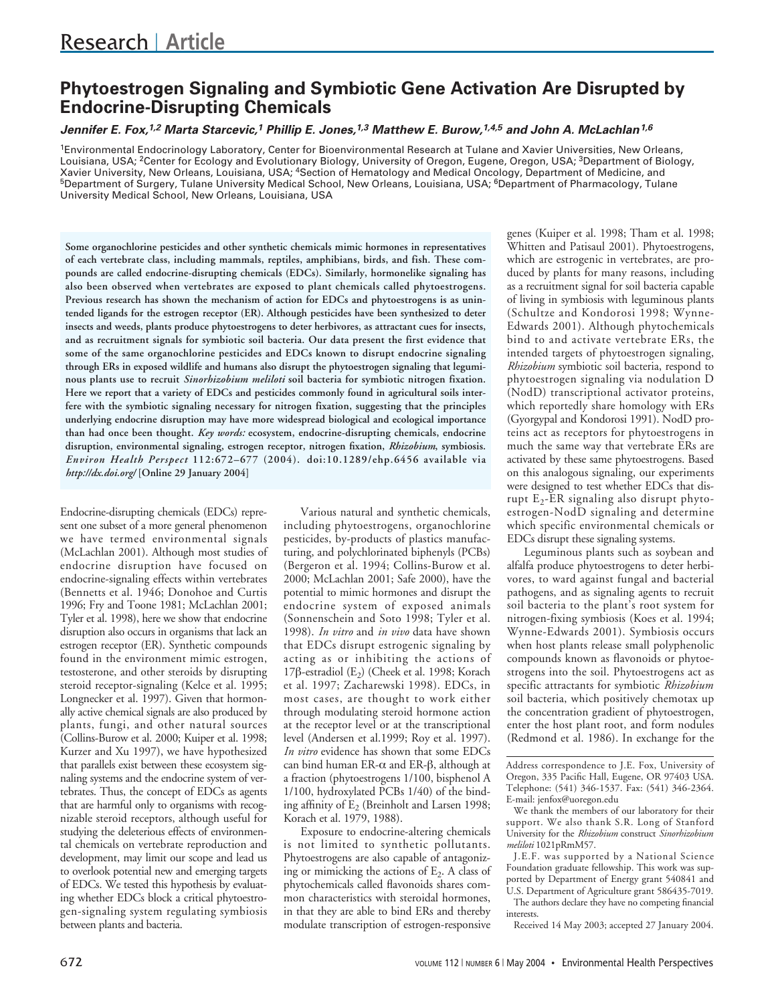# **Phytoestrogen Signaling and Symbiotic Gene Activation Are Disrupted by Endocrine-Disrupting Chemicals**

*Jennifer E. Fox,1,2 Marta Starcevic,<sup>1</sup> Phillip E. Jones,1,3 Matthew E. Burow,1,4,5 and John A. McLachlan1,6* 

1Environmental Endocrinology Laboratory, Center for Bioenvironmental Research at Tulane and Xavier Universities, New Orleans, Louisiana, USA; <sup>2</sup>Center for Ecology and Evolutionary Biology, University of Oregon, Eugene, Oregon, USA; <sup>3</sup>Department of Biology, Xavier University, New Orleans, Louisiana, USA; 4Section of Hematology and Medical Oncology, Department of Medicine, and <sup>5</sup>Department of Surgery, Tulane University Medical School, New Orleans, Louisiana, USA; <sup>6</sup>Department of Pharmacology, Tulane University Medical School, New Orleans, Louisiana, USA

**Some organochlorine pesticides and other synthetic chemicals mimic hormones in representatives of each vertebrate class, including mammals, reptiles, amphibians, birds, and fish. These compounds are called endocrine-disrupting chemicals (EDCs). Similarly, hormonelike signaling has also been observed when vertebrates are exposed to plant chemicals called phytoestrogens. Previous research has shown the mechanism of action for EDCs and phytoestrogens is as unintended ligands for the estrogen receptor (ER). Although pesticides have been synthesized to deter insects and weeds, plants produce phytoestrogens to deter herbivores, as attractant cues for insects, and as recruitment signals for symbiotic soil bacteria. Our data present the first evidence that some of the same organochlorine pesticides and EDCs known to disrupt endocrine signaling through ERs in exposed wildlife and humans also disrupt the phytoestrogen signaling that leguminous plants use to recruit** *Sinorhizobium meliloti* **soil bacteria for symbiotic nitrogen fixation. Here we report that a variety of EDCs and pesticides commonly found in agricultural soils interfere with the symbiotic signaling necessary for nitrogen fixation, suggesting that the principles underlying endocrine disruption may have more widespread biological and ecological importance than had once been thought.** *Key words:* **ecosystem, endocrine-disrupting chemicals, endocrine disruption, environmental signaling, estrogen receptor, nitrogen fixation,** *Rhizobium***, symbiosis.** *Environ Health Perspect* **112:672–677 (2004). doi:10.1289/ehp.6456 available via** *http://dx.doi.org/* **[Online 29 January 2004]**

Endocrine-disrupting chemicals (EDCs) represent one subset of a more general phenomenon we have termed environmental signals (McLachlan 2001). Although most studies of endocrine disruption have focused on endocrine-signaling effects within vertebrates (Bennetts et al. 1946; Donohoe and Curtis 1996; Fry and Toone 1981; McLachlan 2001; Tyler et al. 1998), here we show that endocrine disruption also occurs in organisms that lack an estrogen receptor (ER). Synthetic compounds found in the environment mimic estrogen, testosterone, and other steroids by disrupting steroid receptor-signaling (Kelce et al. 1995; Longnecker et al. 1997). Given that hormonally active chemical signals are also produced by plants, fungi, and other natural sources (Collins-Burow et al. 2000; Kuiper et al. 1998; Kurzer and Xu 1997), we have hypothesized that parallels exist between these ecosystem signaling systems and the endocrine system of vertebrates. Thus, the concept of EDCs as agents that are harmful only to organisms with recognizable steroid receptors, although useful for studying the deleterious effects of environmental chemicals on vertebrate reproduction and development, may limit our scope and lead us to overlook potential new and emerging targets of EDCs. We tested this hypothesis by evaluating whether EDCs block a critical phytoestrogen-signaling system regulating symbiosis between plants and bacteria.

Various natural and synthetic chemicals, including phytoestrogens, organochlorine pesticides, by-products of plastics manufacturing, and polychlorinated biphenyls (PCBs) (Bergeron et al. 1994; Collins-Burow et al. 2000; McLachlan 2001; Safe 2000), have the potential to mimic hormones and disrupt the endocrine system of exposed animals (Sonnenschein and Soto 1998; Tyler et al. 1998). *In vitro* and *in vivo* data have shown that EDCs disrupt estrogenic signaling by acting as or inhibiting the actions of 17β-estradiol (E<sub>2</sub>) (Cheek et al. 1998; Korach et al. 1997; Zacharewski 1998). EDCs, in most cases, are thought to work either through modulating steroid hormone action at the receptor level or at the transcriptional level (Andersen et al.1999; Roy et al. 1997). *In vitro* evidence has shown that some EDCs can bind human ER-α and ER-β, although at a fraction (phytoestrogens 1/100, bisphenol A 1/100, hydroxylated PCBs 1/40) of the binding affinity of  $E_2$  (Breinholt and Larsen 1998; Korach et al. 1979, 1988).

Exposure to endocrine-altering chemicals is not limited to synthetic pollutants. Phytoestrogens are also capable of antagonizing or mimicking the actions of  $E<sub>2</sub>$ . A class of phytochemicals called flavonoids shares common characteristics with steroidal hormones, in that they are able to bind ERs and thereby modulate transcription of estrogen-responsive

genes (Kuiper et al. 1998; Tham et al. 1998; Whitten and Patisaul 2001). Phytoestrogens, which are estrogenic in vertebrates, are produced by plants for many reasons, including as a recruitment signal for soil bacteria capable of living in symbiosis with leguminous plants (Schultze and Kondorosi 1998; Wynne-Edwards 2001). Although phytochemicals bind to and activate vertebrate ERs, the intended targets of phytoestrogen signaling, *Rhizobium* symbiotic soil bacteria, respond to phytoestrogen signaling via nodulation D (NodD) transcriptional activator proteins, which reportedly share homology with ERs (Gyorgypal and Kondorosi 1991). NodD proteins act as receptors for phytoestrogens in much the same way that vertebrate ERs are activated by these same phytoestrogens. Based on this analogous signaling, our experiments were designed to test whether EDCs that disrupt  $E_2$ -ER signaling also disrupt phytoestrogen-NodD signaling and determine which specific environmental chemicals or EDCs disrupt these signaling systems.

Leguminous plants such as soybean and alfalfa produce phytoestrogens to deter herbivores, to ward against fungal and bacterial pathogens, and as signaling agents to recruit soil bacteria to the plant's root system for nitrogen-fixing symbiosis (Koes et al. 1994; Wynne-Edwards 2001). Symbiosis occurs when host plants release small polyphenolic compounds known as flavonoids or phytoestrogens into the soil. Phytoestrogens act as specific attractants for symbiotic *Rhizobium* soil bacteria, which positively chemotax up the concentration gradient of phytoestrogen, enter the host plant root, and form nodules (Redmond et al. 1986). In exchange for the

Address correspondence to J.E. Fox, University of Oregon, 335 Pacific Hall, Eugene, OR 97403 USA. Telephone: (541) 346-1537. Fax: (541) 346-2364. E-mail: jenfox@uoregon.edu

Received 14 May 2003; accepted 27 January 2004.

We thank the members of our laboratory for their support. We also thank S.R. Long of Stanford University for the *Rhizobium* construct *Sinorhizobium meliloti* 1021pRmM57.

J.E.F. was supported by a National Science Foundation graduate fellowship. This work was supported by Department of Energy grant 540841 and U.S. Department of Agriculture grant 586435-7019. The authors declare they have no competing financial interests.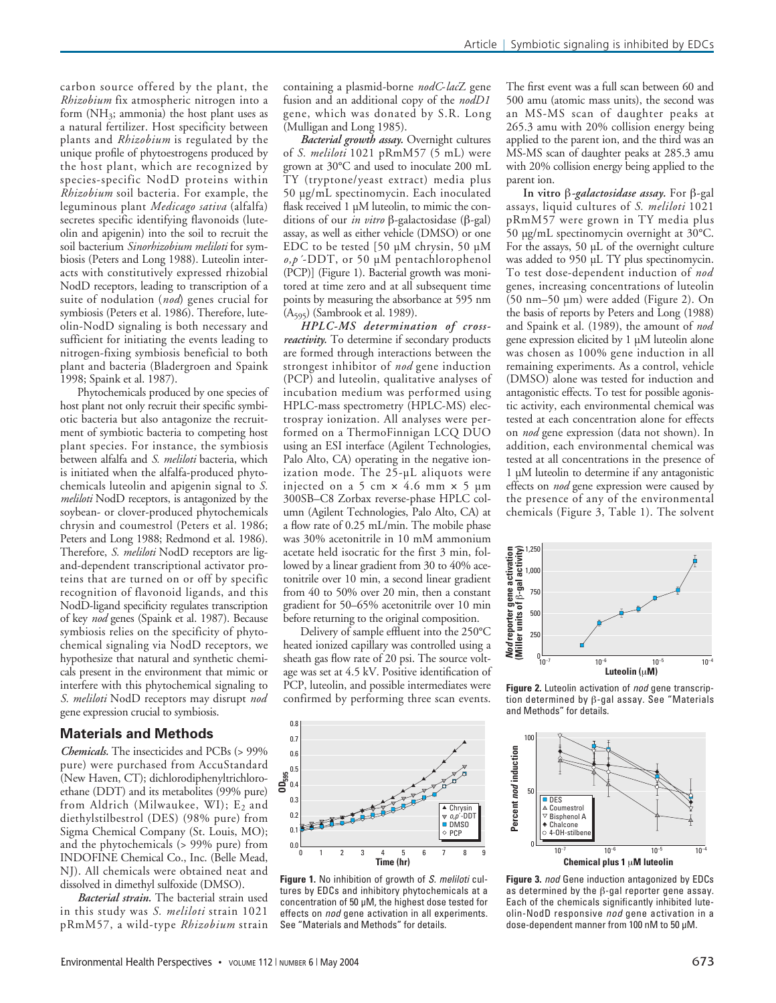carbon source offered by the plant, the *Rhizobium* fix atmospheric nitrogen into a form  $(NH_3;$  ammonia) the host plant uses as a natural fertilizer. Host specificity between plants and *Rhizobium* is regulated by the unique profile of phytoestrogens produced by the host plant, which are recognized by species-specific NodD proteins within *Rhizobium* soil bacteria. For example, the leguminous plant *Medicago sativa* (alfalfa) secretes specific identifying flavonoids (luteolin and apigenin) into the soil to recruit the soil bacterium *Sinorhizobium meliloti* for symbiosis (Peters and Long 1988). Luteolin interacts with constitutively expressed rhizobial NodD receptors, leading to transcription of a suite of nodulation (*nod*) genes crucial for symbiosis (Peters et al. 1986). Therefore, luteolin-NodD signaling is both necessary and sufficient for initiating the events leading to nitrogen-fixing symbiosis beneficial to both plant and bacteria (Bladergroen and Spaink 1998; Spaink et al. 1987).

Phytochemicals produced by one species of host plant not only recruit their specific symbiotic bacteria but also antagonize the recruitment of symbiotic bacteria to competing host plant species. For instance, the symbiosis between alfalfa and *S. meliloti* bacteria, which is initiated when the alfalfa-produced phytochemicals luteolin and apigenin signal to *S. meliloti* NodD receptors, is antagonized by the soybean- or clover-produced phytochemicals chrysin and coumestrol (Peters et al. 1986; Peters and Long 1988; Redmond et al. 1986). Therefore, *S. meliloti* NodD receptors are ligand-dependent transcriptional activator proteins that are turned on or off by specific recognition of flavonoid ligands, and this NodD-ligand specificity regulates transcription of key *nod* genes (Spaink et al. 1987). Because symbiosis relies on the specificity of phytochemical signaling via NodD receptors, we hypothesize that natural and synthetic chemicals present in the environment that mimic or interfere with this phytochemical signaling to *S. meliloti* NodD receptors may disrupt *nod* gene expression crucial to symbiosis.

#### **Materials and Methods**

*Chemicals.* The insecticides and PCBs (> 99% pure) were purchased from AccuStandard (New Haven, CT); dichlorodiphenyltrichloroethane (DDT) and its metabolites (99% pure) from Aldrich (Milwaukee, WI);  $E_2$  and diethylstilbestrol (DES) (98% pure) from Sigma Chemical Company (St. Louis, MO); and the phytochemicals (> 99% pure) from INDOFINE Chemical Co., Inc. (Belle Mead, NJ). All chemicals were obtained neat and dissolved in dimethyl sulfoxide (DMSO).

*Bacterial strain.* The bacterial strain used in this study was *S. meliloti* strain 1021 pRmM57, a wild-type *Rhizobium* strain

containing a plasmid-borne *nodC*-*lac*Z gene fusion and an additional copy of the *nodD1* gene, which was donated by S.R. Long (Mulligan and Long 1985).

*Bacterial growth assay.* Overnight cultures of *S. meliloti* 1021 pRmM57 (5 mL) were grown at 30°C and used to inoculate 200 mL TY (tryptone/yeast extract) media plus 50 µg/mL spectinomycin. Each inoculated flask received 1 µM luteolin, to mimic the conditions of our *in vitro* β-galactosidase (β-gal) assay, as well as either vehicle (DMSO) or one EDC to be tested [50 µM chrysin, 50 µM *o,p´*-DDT, or 50 µM pentachlorophenol (PCP)] (Figure 1). Bacterial growth was monitored at time zero and at all subsequent time points by measuring the absorbance at 595 nm (A595) (Sambrook et al. 1989).

*HPLC-MS determination of crossreactivity.* To determine if secondary products are formed through interactions between the strongest inhibitor of *nod* gene induction (PCP) and luteolin, qualitative analyses of incubation medium was performed using HPLC-mass spectrometry (HPLC-MS) electrospray ionization. All analyses were performed on a ThermoFinnigan LCQ DUO using an ESI interface (Agilent Technologies, Palo Alto, CA) operating in the negative ionization mode. The 25-µL aliquots were injected on a 5 cm  $\times$  4.6 mm  $\times$  5 µm 300SB–C8 Zorbax reverse-phase HPLC column (Agilent Technologies, Palo Alto, CA) at a flow rate of 0.25 mL/min. The mobile phase was 30% acetonitrile in 10 mM ammonium acetate held isocratic for the first 3 min, followed by a linear gradient from 30 to 40% acetonitrile over 10 min, a second linear gradient from 40 to 50% over 20 min, then a constant gradient for 50–65% acetonitrile over 10 min before returning to the original composition.

Delivery of sample effluent into the 250°C heated ionized capillary was controlled using a sheath gas flow rate of 20 psi. The source voltage was set at 4.5 kV. Positive identification of PCP, luteolin, and possible intermediates were confirmed by performing three scan events.



**Figure 1.** No inhibition of growth of *S. meliloti* cultures by EDCs and inhibitory phytochemicals at a concentration of 50 µM, the highest dose tested for effects on *nod* gene activation in all experiments. See "Materials and Methods" for details.

The first event was a full scan between 60 and 500 amu (atomic mass units), the second was an MS-MS scan of daughter peaks at 265.3 amu with 20% collision energy being applied to the parent ion, and the third was an MS-MS scan of daughter peaks at 285.3 amu with 20% collision energy being applied to the parent ion.

**In vitro** β*-galactosidase assay.* For β-gal assays, liquid cultures of *S. meliloti* 1021 pRmM57 were grown in TY media plus 50 µg/mL spectinomycin overnight at 30°C. For the assays, 50 µL of the overnight culture was added to 950 µL TY plus spectinomycin. To test dose-dependent induction of *nod* genes, increasing concentrations of luteolin (50 nm–50 µm) were added (Figure 2). On the basis of reports by Peters and Long (1988) and Spaink et al. (1989), the amount of *nod* gene expression elicited by 1 µM luteolin alone was chosen as 100% gene induction in all remaining experiments. As a control, vehicle (DMSO) alone was tested for induction and antagonistic effects. To test for possible agonistic activity, each environmental chemical was tested at each concentration alone for effects on *nod* gene expression (data not shown). In addition, each environmental chemical was tested at all concentrations in the presence of 1 µM luteolin to determine if any antagonistic effects on *nod* gene expression were caused by the presence of any of the environmental chemicals (Figure 3, Table 1). The solvent



**Figure 2.** Luteolin activation of *nod* gene transcription determined by β-gal assay. See "Materials and Methods" for details.



**Figure 3.** *nod* Gene induction antagonized by EDCs as determined by the β-gal reporter gene assay. Each of the chemicals significantly inhibited luteolin-NodD responsive *nod* gene activation in a dose-dependent manner from 100 nM to 50 µM.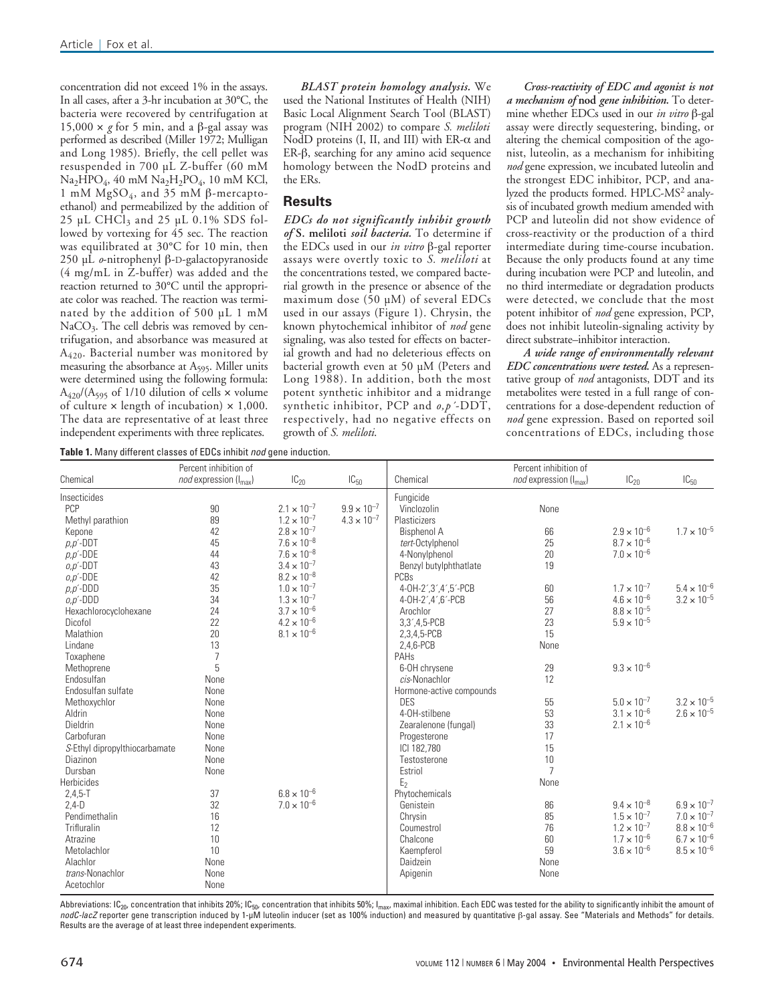concentration did not exceed 1% in the assays. In all cases, after a 3-hr incubation at 30°C, the bacteria were recovered by centrifugation at 15,000  $\times$  *g* for 5 min, and a β-gal assay was performed as described (Miller 1972; Mulligan and Long 1985). Briefly, the cell pellet was resuspended in 700 µL Z-buffer (60 mM  $Na<sub>2</sub>HPO<sub>4</sub>$ , 40 mM  $Na<sub>2</sub>H<sub>2</sub>PO<sub>4</sub>$ , 10 mM KCl, 1 mM MgSO4, and 35 mM β-mercaptoethanol) and permeabilized by the addition of 25 µL CHCl<sub>3</sub> and 25 µL 0.1% SDS followed by vortexing for 45 sec. The reaction was equilibrated at 30°C for 10 min, then 250 µL *o*-nitrophenyl β-D-galactopyranoside (4 mg/mL in Z-buffer) was added and the reaction returned to 30°C until the appropriate color was reached. The reaction was terminated by the addition of 500 µL 1 mM NaCO<sub>3</sub>. The cell debris was removed by centrifugation, and absorbance was measured at A420. Bacterial number was monitored by measuring the absorbance at A<sub>595</sub>. Miller units were determined using the following formula:  $A_{420}/(A_{595}$  of 1/10 dilution of cells  $\times$  volume of culture  $\times$  length of incubation)  $\times$  1,000. The data are representative of at least three independent experiments with three replicates.

*BLAST protein homology analysis.* We used the National Institutes of Health (NIH) Basic Local Alignment Search Tool (BLAST) program (NIH 2002) to compare *S. meliloti* NodD proteins (I, II, and III) with ER-α and ER-β, searching for any amino acid sequence homology between the NodD proteins and the ERs.

## **Results**

*EDCs do not significantly inhibit growth of* **S. meliloti** *soil bacteria.* To determine if the EDCs used in our *in vitro* β-gal reporter assays were overtly toxic to *S. meliloti* at the concentrations tested, we compared bacterial growth in the presence or absence of the maximum dose  $(50 \mu M)$  of several EDCs used in our assays (Figure 1). Chrysin, the known phytochemical inhibitor of *nod* gene signaling, was also tested for effects on bacterial growth and had no deleterious effects on bacterial growth even at 50 µM (Peters and Long 1988). In addition, both the most potent synthetic inhibitor and a midrange synthetic inhibitor, PCP and *o,p´*-DDT, respectively, had no negative effects on growth of *S. meliloti*.

*Cross-reactivity of EDC and agonist is not a mechanism of* **nod** *gene inhibition.* To determine whether EDCs used in our *in vitro* β-gal assay were directly sequestering, binding, or altering the chemical composition of the agonist, luteolin, as a mechanism for inhibiting *nod* gene expression, we incubated luteolin and the strongest EDC inhibitor, PCP, and analyzed the products formed. HPLC-MS<sup>2</sup> analysis of incubated growth medium amended with PCP and luteolin did not show evidence of cross-reactivity or the production of a third intermediate during time-course incubation. Because the only products found at any time during incubation were PCP and luteolin, and no third intermediate or degradation products were detected, we conclude that the most potent inhibitor of *nod* gene expression, PCP, does not inhibit luteolin-signaling activity by direct substrate–inhibitor interaction.

*A wide range of environmentally relevant EDC concentrations were tested.* As a representative group of *nod* antagonists, DDT and its metabolites were tested in a full range of concentrations for a dose-dependent reduction of *nod* gene expression. Based on reported soil concentrations of EDCs, including those

**Table 1.** Many different classes of EDCs inhibit *nod* gene induction.

| Chemical                      | Percent inhibition of<br>nod expression $(I_{max})$ | $IC_{20}$            | $IC_{50}$            | Chemical                 | Percent inhibition of<br>nod expression $\left(\right _{\text{max}}\right)$ | $IC_{20}$            | $IC_{50}$            |
|-------------------------------|-----------------------------------------------------|----------------------|----------------------|--------------------------|-----------------------------------------------------------------------------|----------------------|----------------------|
| Insecticides                  |                                                     |                      |                      | Fungicide                |                                                                             |                      |                      |
| PCP                           | 90                                                  | $2.1 \times 10^{-7}$ | $9.9 \times 10^{-7}$ | Vinclozolin              | None                                                                        |                      |                      |
| Methyl parathion              | 89                                                  | $1.2 \times 10^{-7}$ | $4.3 \times 10^{-7}$ | Plasticizers             |                                                                             |                      |                      |
| Kepone                        | 42                                                  | $2.8 \times 10^{-7}$ |                      | <b>Bisphenol A</b>       | 66                                                                          | $2.9 \times 10^{-6}$ | $1.7 \times 10^{-5}$ |
| $p, p'$ -DDT                  | 45                                                  | $7.6 \times 10^{-8}$ |                      | tert-Octylphenol         | 25                                                                          | $8.7 \times 10^{-6}$ |                      |
| $p, p'$ -DDE                  | 44                                                  | $7.6 \times 10^{-8}$ |                      | 4-Nonylphenol            | 20                                                                          | $7.0 \times 10^{-6}$ |                      |
| $o, p'$ -DDT                  | 43                                                  | $3.4 \times 10^{-7}$ |                      | Benzyl butylphthatlate   | 19                                                                          |                      |                      |
| $o, p'$ -DDE                  | 42                                                  | $8.2 \times 10^{-8}$ |                      | PCBs                     |                                                                             |                      |                      |
| $p, p'$ -DDD                  | 35                                                  | $1.0 \times 10^{-7}$ |                      | 4-0H-2',3',4',5'-PCB     | 60                                                                          | $1.7 \times 10^{-7}$ | $5.4 \times 10^{-6}$ |
| $o.p'$ -DDD                   | 34                                                  | $1.3 \times 10^{-7}$ |                      | 4-0H-2',4',6'-PCB        | 56                                                                          | $4.6 \times 10^{-6}$ | $3.2 \times 10^{-5}$ |
| Hexachlorocyclohexane         | 24                                                  | $3.7 \times 10^{-6}$ |                      | Arochlor                 | 27                                                                          | $8.8 \times 10^{-5}$ |                      |
| Dicofol                       | 22                                                  | $4.2 \times 10^{-6}$ |                      | $3,3',4,5-PCB$           | 23                                                                          | $5.9 \times 10^{-5}$ |                      |
| Malathion                     | 20                                                  | $8.1 \times 10^{-6}$ |                      | 2.3.4.5-PCB              | 15                                                                          |                      |                      |
| Lindane                       | 13                                                  |                      |                      | 2,4,6-PCB                | None                                                                        |                      |                      |
| Toxaphene                     | 7                                                   |                      |                      | PAHs                     |                                                                             |                      |                      |
| Methoprene                    | 5                                                   |                      |                      | 6-OH chrysene            | 29                                                                          | $9.3 \times 10^{-6}$ |                      |
| Endosulfan                    | None                                                |                      |                      | cis-Nonachlor            | 12                                                                          |                      |                      |
| Endosulfan sulfate            | None                                                |                      |                      | Hormone-active compounds |                                                                             |                      |                      |
| Methoxychlor                  | None                                                |                      |                      | <b>DES</b>               | 55                                                                          | $5.0 \times 10^{-7}$ | $3.2 \times 10^{-5}$ |
| Aldrin                        | None                                                |                      |                      | 4-OH-stilbene            | 53                                                                          | $3.1 \times 10^{-6}$ | $2.6 \times 10^{-5}$ |
| Dieldrin                      | None                                                |                      |                      | Zearalenone (fungal)     | 33                                                                          | $2.1 \times 10^{-6}$ |                      |
| Carbofuran                    | None                                                |                      |                      | Progesterone             | 17                                                                          |                      |                      |
| S-Ethyl dipropylthiocarbamate | None                                                |                      |                      | ICI 182.780              | 15                                                                          |                      |                      |
| <b>Diazinon</b>               | None                                                |                      |                      | Testosterone             | 10                                                                          |                      |                      |
| Dursban                       | None                                                |                      |                      | Estriol                  | $\overline{7}$                                                              |                      |                      |
| <b>Herbicides</b>             |                                                     |                      |                      | E <sub>2</sub>           | None                                                                        |                      |                      |
| $2,4,5 - T$                   | 37                                                  | $6.8 \times 10^{-6}$ |                      | Phytochemicals           |                                                                             |                      |                      |
| $2,4-D$                       | 32                                                  | $7.0 \times 10^{-6}$ |                      | Genistein                | 86                                                                          | $9.4 \times 10^{-8}$ | $6.9 \times 10^{-7}$ |
| Pendimethalin                 | 16                                                  |                      |                      | Chrysin                  | 85                                                                          | $1.5 \times 10^{-7}$ | $7.0 \times 10^{-7}$ |
| Trifluralin                   | 12                                                  |                      |                      | Coumestrol               | 76                                                                          | $1.2 \times 10^{-7}$ | $8.8 \times 10^{-6}$ |
| Atrazine                      | $10$                                                |                      |                      | Chalcone                 | 60                                                                          | $1.7 \times 10^{-6}$ | $6.7 \times 10^{-6}$ |
| Metolachlor                   | 10                                                  |                      |                      | Kaempferol               | 59                                                                          | $3.6 \times 10^{-6}$ | $8.5 \times 10^{-6}$ |
| Alachlor                      | None                                                |                      |                      | Daidzein                 | None                                                                        |                      |                      |
| trans-Nonachlor               | None                                                |                      |                      | Apigenin                 | None                                                                        |                      |                      |
| Acetochlor                    | None                                                |                      |                      |                          |                                                                             |                      |                      |

Abbreviations: IC<sub>20</sub>, concentration that inhibits 20%; IC<sub>50</sub>, concentration that inhibits 50%; I<sub>max</sub>, maximal inhibition. Each EDC was tested for the ability to significantly inhibit the amount of *nodC-lacZ* reporter gene transcription induced by 1-µM luteolin inducer (set as 100% induction) and measured by quantitative β-gal assay. See "Materials and Methods" for details. Results are the average of at least three independent experiments.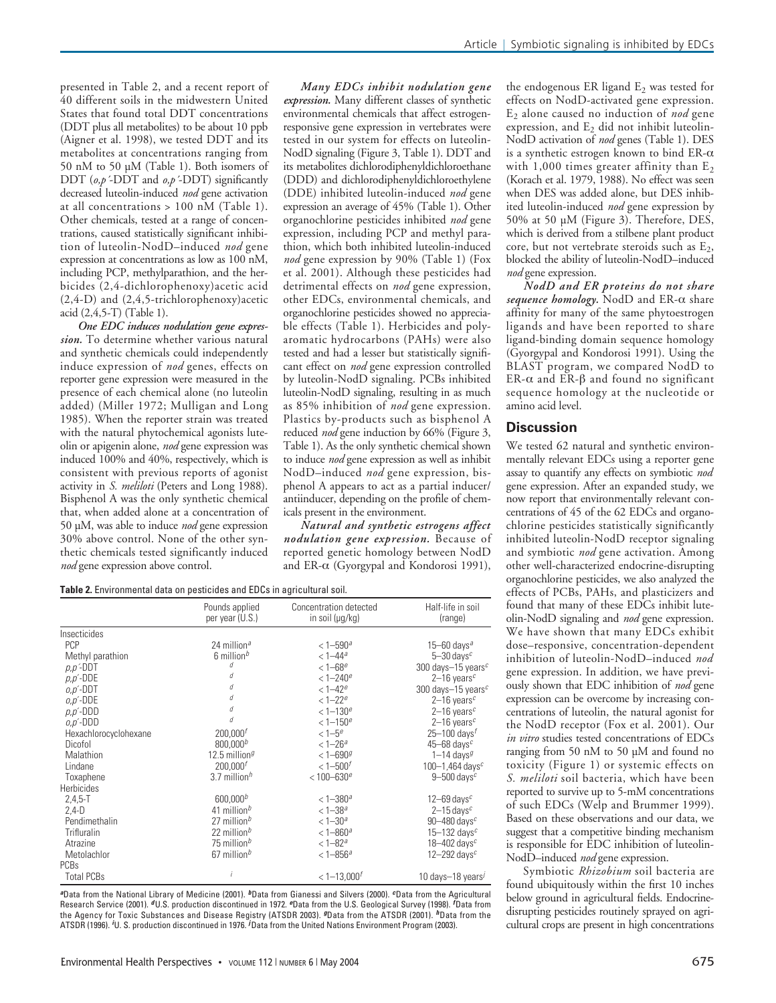presented in Table 2, and a recent report of 40 different soils in the midwestern United States that found total DDT concentrations (DDT plus all metabolites) to be about 10 ppb (Aigner et al. 1998), we tested DDT and its metabolites at concentrations ranging from 50 nM to 50 µM (Table 1). Both isomers of DDT (*o,p´*-DDT and *o,p´*-DDT) significantly decreased luteolin-induced *nod* gene activation at all concentrations > 100 nM (Table 1). Other chemicals, tested at a range of concentrations, caused statistically significant inhibition of luteolin-NodD–induced *nod* gene expression at concentrations as low as 100 nM, including PCP, methylparathion, and the herbicides (2,4-dichlorophenoxy)acetic acid (2,4-D) and (2,4,5-trichlorophenoxy)acetic acid (2,4,5-T) (Table 1).

*One EDC induces nodulation gene expression.* To determine whether various natural and synthetic chemicals could independently induce expression of *nod* genes, effects on reporter gene expression were measured in the presence of each chemical alone (no luteolin added) (Miller 1972; Mulligan and Long 1985). When the reporter strain was treated with the natural phytochemical agonists luteolin or apigenin alone, *nod* gene expression was induced 100% and 40%, respectively, which is consistent with previous reports of agonist activity in *S. meliloti* (Peters and Long 1988). Bisphenol A was the only synthetic chemical that, when added alone at a concentration of 50 µM, was able to induce *nod* gene expression 30% above control. None of the other synthetic chemicals tested significantly induced *nod* gene expression above control.

*Many EDCs inhibit nodulation gene expression.* Many different classes of synthetic environmental chemicals that affect estrogenresponsive gene expression in vertebrates were tested in our system for effects on luteolin-NodD signaling (Figure 3, Table 1). DDT and its metabolites dichlorodiphenyldichloroethane (DDD) and dichlorodiphenyldichloroethylene (DDE) inhibited luteolin-induced *nod* gene expression an average of 45% (Table 1). Other organochlorine pesticides inhibited *nod* gene expression, including PCP and methyl parathion, which both inhibited luteolin-induced *nod* gene expression by 90% (Table 1) (Fox et al. 2001). Although these pesticides had detrimental effects on *nod* gene expression, other EDCs, environmental chemicals, and organochlorine pesticides showed no appreciable effects (Table 1). Herbicides and polyaromatic hydrocarbons (PAHs) were also tested and had a lesser but statistically significant effect on *nod* gene expression controlled by luteolin-NodD signaling. PCBs inhibited luteolin-NodD signaling, resulting in as much as 85% inhibition of *nod* gene expression. Plastics by-products such as bisphenol A reduced *nod* gene induction by 66% (Figure 3, Table 1). As the only synthetic chemical shown to induce *nod* gene expression as well as inhibit NodD–induced *nod* gene expression, bisphenol A appears to act as a partial inducer/ antiinducer, depending on the profile of chemicals present in the environment.

*Natural and synthetic estrogens affect nodulation gene expression.* Because of reported genetic homology between NodD and ER-α (Gyorgypal and Kondorosi 1991),

**Table 2.** Environmental data on pesticides and EDCs in agricultural soil.

|                       | Pounds applied<br>per year (U.S.) | Concentration detected<br>in soil $(\mu q/kg)$ | Half-life in soil<br>(range)              |
|-----------------------|-----------------------------------|------------------------------------------------|-------------------------------------------|
| Insecticides          |                                   |                                                |                                           |
| <b>PCP</b>            | 24 million <sup>a</sup>           | $< 1 - 590a$                                   | 15-60 days <sup>a</sup>                   |
| Methyl parathion      | 6 million <sup>b</sup>            | $< 1 - 44^a$                                   | $5 - 30$ days <sup>c</sup>                |
| $p, p$ -DDT           | d                                 | $< 1 - 68e$                                    | 300 days-15 years <sup>c</sup>            |
| $p, p'$ -DDE          | d                                 | $< 1 - 240^e$                                  | 2-16 years <sup><math>c</math></sup>      |
| $o, p'$ -DDT          | d                                 | $< 1 - 42e$                                    | 300 days-15 years <sup>c</sup>            |
| $0, p'$ -DDE          | d                                 | $< 1 - 22e$                                    | 2-16 years <sup><math>c</math></sup>      |
| $p, p'$ -DDD          | d                                 | $< 1 - 130^e$                                  | 2-16 years <sup><math>c</math></sup>      |
| $o.p'$ -DDD           | d                                 | $< 1 - 150^e$                                  | 2-16 years <sup><math>c</math></sup>      |
| Hexachlorocyclohexane | 200.000 <sup>f</sup>              | $< 1-5e$                                       | $25 - 100$ days <sup><math>f</math></sup> |
| Dicofol               | 800.000 <sup>b</sup>              | $< 1 - 26a$                                    | 45-68 days $c$                            |
| Malathion             | 12.5 million <sup>g</sup>         | $< 1 - 690g$                                   | 1-14 days <sup>g</sup>                    |
| Lindane               | 200.000 <sup>f</sup>              | $< 1 - 500f$                                   | 100-1,464 days <sup>c</sup>               |
| Toxaphene             | 3.7 million $^h$                  | $< 100 - 630e$                                 | $9 - 500$ days <sup>c</sup>               |
| <b>Herbicides</b>     |                                   |                                                |                                           |
| $2,4,5 - T$           | 600.000 <sup>b</sup>              | $< 1 - 380a$                                   | 12-69 days $c$                            |
| $2.4-D$               | 41 million $b$                    | $< 1 - 38^a$                                   | $2 - 15$ days <sup>c</sup>                |
| Pendimethalin         | 27 million $^b$                   | $< 1 - 30a$                                    | 90-480 days <sup>c</sup>                  |
| Trifluralin           | 22 million $b$                    | $< 1 - 860^{\circ}$                            | 15-132 days $c$                           |
| Atrazine              | 75 million <sup>b</sup>           | $< 1 - 82^a$                                   | 18-402 days $c$                           |
| Metolachlor           | 67 million $^b$                   | $< 1 - 856^{\circ}$                            | 12-292 days $c$                           |
| PCBs                  |                                   |                                                |                                           |
| <b>Total PCBs</b>     |                                   | $< 1 - 13,000t$                                | 10 days-18 years/                         |

*<sup>a</sup>*Data from the National Library of Medicine (2001). *b*Data from Gianessi and Silvers (2000). *c*Data from the Agricultural Research Service (2001). *d*U.S. production discontinued in 1972. *e*Data from the U.S. Geological Survey (1998). *<sup>f</sup>* Data from the Agency for Toxic Substances and Disease Registry (ATSDR 2003). *g*Data from the ATSDR (2001). *h*Data from the ATSDR (1996). *<sup>i</sup>* U. S. production discontinued in 1976. *<sup>j</sup>* Data from the United Nations Environment Program (2003).

the endogenous ER ligand  $E_2$  was tested for effects on NodD-activated gene expression. E2 alone caused no induction of *nod* gene expression, and  $E_2$  did not inhibit luteolin-NodD activation of *nod* genes (Table 1). DES is a synthetic estrogen known to bind  $ER-\alpha$ with 1,000 times greater affinity than  $E_2$ (Korach et al. 1979, 1988). No effect was seen when DES was added alone, but DES inhibited luteolin-induced *nod* gene expression by 50% at 50 µM (Figure 3). Therefore, DES, which is derived from a stilbene plant product core, but not vertebrate steroids such as  $E_2$ , blocked the ability of luteolin-NodD–induced *nod* gene expression.

*NodD and ER proteins do not share sequence homology.* NodD and ER-α share affinity for many of the same phytoestrogen ligands and have been reported to share ligand-binding domain sequence homology (Gyorgypal and Kondorosi 1991). Using the BLAST program, we compared NodD to ER-α and ER-β and found no significant sequence homology at the nucleotide or amino acid level.

### **Discussion**

We tested 62 natural and synthetic environmentally relevant EDCs using a reporter gene assay to quantify any effects on symbiotic *nod* gene expression. After an expanded study, we now report that environmentally relevant concentrations of 45 of the 62 EDCs and organochlorine pesticides statistically significantly inhibited luteolin-NodD receptor signaling and symbiotic *nod* gene activation. Among other well-characterized endocrine-disrupting organochlorine pesticides, we also analyzed the effects of PCBs, PAHs, and plasticizers and found that many of these EDCs inhibit luteolin-NodD signaling and *nod* gene expression. We have shown that many EDCs exhibit dose–responsive, concentration-dependent inhibition of luteolin-NodD–induced *nod* gene expression. In addition, we have previously shown that EDC inhibition of *nod* gene expression can be overcome by increasing concentrations of luteolin, the natural agonist for the NodD receptor (Fox et al. 2001). Our *in vitro* studies tested concentrations of EDCs ranging from 50 nM to 50 µM and found no toxicity (Figure 1) or systemic effects on *S. meliloti* soil bacteria, which have been reported to survive up to 5-mM concentrations of such EDCs (Welp and Brummer 1999). Based on these observations and our data, we suggest that a competitive binding mechanism is responsible for EDC inhibition of luteolin-NodD–induced *nod* gene expression.

Symbiotic *Rhizobium* soil bacteria are found ubiquitously within the first 10 inches below ground in agricultural fields. Endocrinedisrupting pesticides routinely sprayed on agricultural crops are present in high concentrations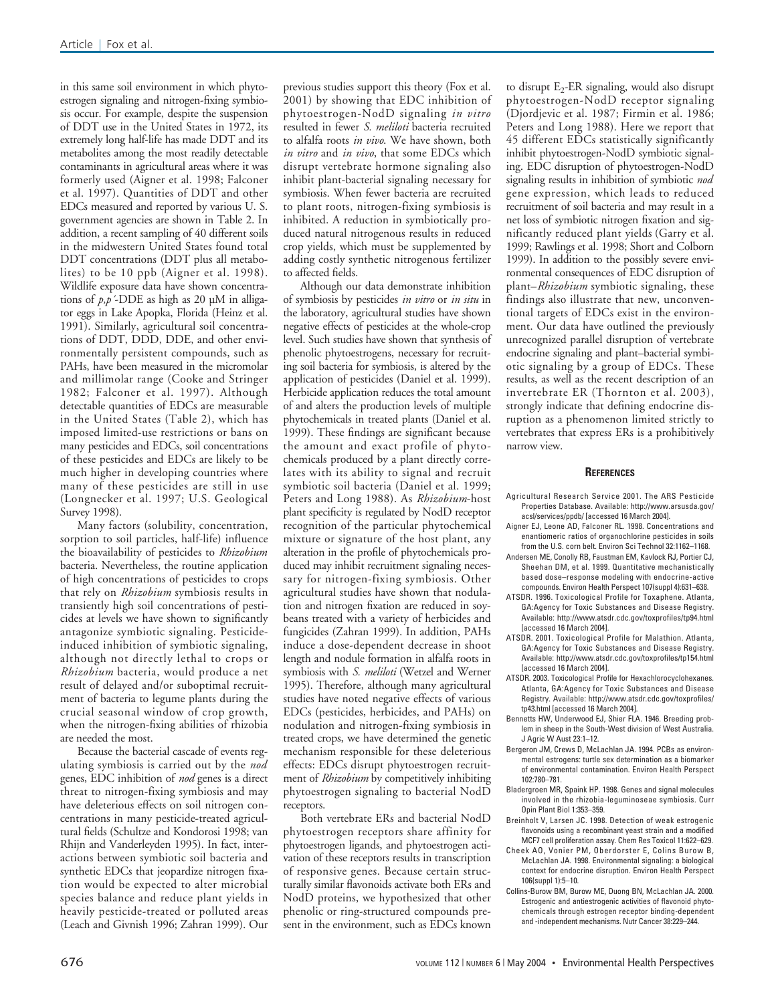in this same soil environment in which phytoestrogen signaling and nitrogen-fixing symbiosis occur. For example, despite the suspension of DDT use in the United States in 1972, its extremely long half-life has made DDT and its metabolites among the most readily detectable contaminants in agricultural areas where it was formerly used (Aigner et al. 1998; Falconer et al. 1997). Quantities of DDT and other EDCs measured and reported by various U. S. government agencies are shown in Table 2. In addition, a recent sampling of 40 different soils in the midwestern United States found total DDT concentrations (DDT plus all metabolites) to be 10 ppb (Aigner et al. 1998). Wildlife exposure data have shown concentrations of *p,p´*-DDE as high as 20 µM in alligator eggs in Lake Apopka, Florida (Heinz et al. 1991). Similarly, agricultural soil concentrations of DDT, DDD, DDE, and other environmentally persistent compounds, such as PAHs, have been measured in the micromolar and millimolar range (Cooke and Stringer 1982; Falconer et al. 1997). Although detectable quantities of EDCs are measurable in the United States (Table 2), which has imposed limited-use restrictions or bans on many pesticides and EDCs, soil concentrations of these pesticides and EDCs are likely to be much higher in developing countries where many of these pesticides are still in use (Longnecker et al. 1997; U.S. Geological Survey 1998).

Many factors (solubility, concentration, sorption to soil particles, half-life) influence the bioavailability of pesticides to *Rhizobium* bacteria. Nevertheless, the routine application of high concentrations of pesticides to crops that rely on *Rhizobium* symbiosis results in transiently high soil concentrations of pesticides at levels we have shown to significantly antagonize symbiotic signaling. Pesticideinduced inhibition of symbiotic signaling, although not directly lethal to crops or *Rhizobium* bacteria, would produce a net result of delayed and/or suboptimal recruitment of bacteria to legume plants during the crucial seasonal window of crop growth, when the nitrogen-fixing abilities of rhizobia are needed the most.

Because the bacterial cascade of events regulating symbiosis is carried out by the *nod* genes, EDC inhibition of *nod* genes is a direct threat to nitrogen-fixing symbiosis and may have deleterious effects on soil nitrogen concentrations in many pesticide-treated agricultural fields (Schultze and Kondorosi 1998; van Rhijn and Vanderleyden 1995). In fact, interactions between symbiotic soil bacteria and synthetic EDCs that jeopardize nitrogen fixation would be expected to alter microbial species balance and reduce plant yields in heavily pesticide-treated or polluted areas (Leach and Givnish 1996; Zahran 1999). Our

previous studies support this theory (Fox et al. 2001) by showing that EDC inhibition of phytoestrogen-NodD signaling *in vitro* resulted in fewer *S. meliloti* bacteria recruited to alfalfa roots *in vivo*. We have shown, both *in vitro* and *in vivo*, that some EDCs which disrupt vertebrate hormone signaling also inhibit plant-bacterial signaling necessary for symbiosis. When fewer bacteria are recruited to plant roots, nitrogen-fixing symbiosis is inhibited. A reduction in symbiotically produced natural nitrogenous results in reduced crop yields, which must be supplemented by adding costly synthetic nitrogenous fertilizer to affected fields.

Although our data demonstrate inhibition of symbiosis by pesticides *in vitro* or *in situ* in the laboratory, agricultural studies have shown negative effects of pesticides at the whole-crop level. Such studies have shown that synthesis of phenolic phytoestrogens, necessary for recruiting soil bacteria for symbiosis, is altered by the application of pesticides (Daniel et al. 1999). Herbicide application reduces the total amount of and alters the production levels of multiple phytochemicals in treated plants (Daniel et al. 1999). These findings are significant because the amount and exact profile of phytochemicals produced by a plant directly correlates with its ability to signal and recruit symbiotic soil bacteria (Daniel et al. 1999; Peters and Long 1988). As *Rhizobium*-host plant specificity is regulated by NodD receptor recognition of the particular phytochemical mixture or signature of the host plant, any alteration in the profile of phytochemicals produced may inhibit recruitment signaling necessary for nitrogen-fixing symbiosis. Other agricultural studies have shown that nodulation and nitrogen fixation are reduced in soybeans treated with a variety of herbicides and fungicides (Zahran 1999). In addition, PAHs induce a dose-dependent decrease in shoot length and nodule formation in alfalfa roots in symbiosis with *S. meliloti* (Wetzel and Werner 1995). Therefore, although many agricultural studies have noted negative effects of various EDCs (pesticides, herbicides, and PAHs) on nodulation and nitrogen-fixing symbiosis in treated crops, we have determined the genetic mechanism responsible for these deleterious effects: EDCs disrupt phytoestrogen recruitment of *Rhizobium* by competitively inhibiting phytoestrogen signaling to bacterial NodD receptors.

Both vertebrate ERs and bacterial NodD phytoestrogen receptors share affinity for phytoestrogen ligands, and phytoestrogen activation of these receptors results in transcription of responsive genes. Because certain structurally similar flavonoids activate both ERs and NodD proteins, we hypothesized that other phenolic or ring-structured compounds present in the environment, such as EDCs known

to disrupt  $E_2$ -ER signaling, would also disrupt phytoestrogen-NodD receptor signaling (Djordjevic et al. 1987; Firmin et al. 1986; Peters and Long 1988). Here we report that 45 different EDCs statistically significantly inhibit phytoestrogen-NodD symbiotic signaling. EDC disruption of phytoestrogen-NodD signaling results in inhibition of symbiotic *nod* gene expression, which leads to reduced recruitment of soil bacteria and may result in a net loss of symbiotic nitrogen fixation and significantly reduced plant yields (Garry et al. 1999; Rawlings et al. 1998; Short and Colborn 1999). In addition to the possibly severe environmental consequences of EDC disruption of plant–*Rhizobium* symbiotic signaling, these findings also illustrate that new, unconventional targets of EDCs exist in the environment. Our data have outlined the previously unrecognized parallel disruption of vertebrate endocrine signaling and plant–bacterial symbiotic signaling by a group of EDCs. These results, as well as the recent description of an invertebrate ER (Thornton et al. 2003), strongly indicate that defining endocrine disruption as a phenomenon limited strictly to vertebrates that express ERs is a prohibitively narrow view.

#### **REFERENCES**

- Agricultural Research Service 2001. The ARS Pesticide Properties Database. Available: http://www.arsusda.gov/ acsl/services/ppdb/ [accessed 16 March 2004].
- Aigner EJ, Leone AD, Falconer RL. 1998. Concentrations and enantiomeric ratios of organochlorine pesticides in soils from the U.S. corn belt. Environ Sci Technol 32:1162–1168.
- Andersen ME, Conolly RB, Faustman EM, Kavlock RJ, Portier CJ, Sheehan DM, et al. 1999. Quantitative mechanistically based dose–response modeling with endocrine-active compounds. Environ Health Perspect 107(suppl 4):631–638.
- ATSDR. 1996. Toxicological Profile for Toxaphene. Atlanta, GA:Agency for Toxic Substances and Disease Registry. Available: http://www.atsdr.cdc.gov/toxprofiles/tp94.html [accessed 16 March 2004].
- ATSDR. 2001. Toxicological Profile for Malathion. Atlanta, GA:Agency for Toxic Substances and Disease Registry. Available: http://www.atsdr.cdc.gov/toxprofiles/tp154.html [accessed 16 March 2004].
- ATSDR. 2003. Toxicological Profile for Hexachlorocyclohexanes. Atlanta, GA:Agency for Toxic Substances and Disease Registry. Available: http://www.atsdr.cdc.gov/toxprofiles/ tp43.html [accessed 16 March 2004].
- Bennetts HW, Underwood EJ, Shier FLA. 1946. Breeding problem in sheep in the South-West division of West Australia. J Agric W Aust 23:1–12.
- Bergeron JM, Crews D, McLachlan JA. 1994. PCBs as environmental estrogens: turtle sex determination as a biomarker of environmental contamination. Environ Health Perspect 102:780–781.
- Bladergroen MR, Spaink HP. 1998. Genes and signal molecules involved in the rhizobia-leguminoseae symbiosis. Curr Opin Plant Biol 1:353–359.
- Breinholt V, Larsen JC. 1998. Detection of weak estrogenic flavonoids using a recombinant yeast strain and a modified MCF7 cell proliferation assay. Chem Res Toxicol 11:622–629.
- Cheek AO, Vonier PM, Oberdorster E, Colins Burow B, McLachlan JA. 1998. Environmental signaling: a biological context for endocrine disruption. Environ Health Perspect 106(suppl 1):5–10.
- Collins-Burow BM, Burow ME, Duong BN, McLachlan JA. 2000. Estrogenic and antiestrogenic activities of flavonoid phytochemicals through estrogen receptor binding-dependent and -independent mechanisms. Nutr Cancer 38:229–244.